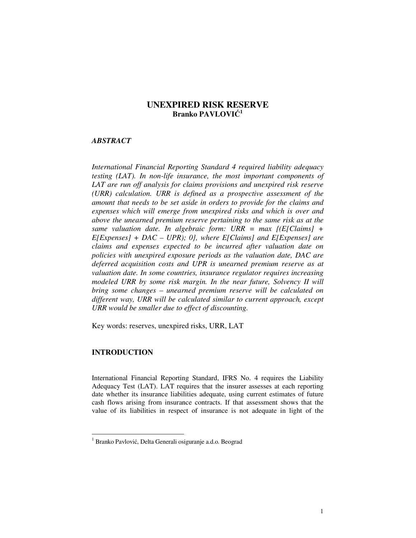# **UNEXPIRED RISK RESERVE Branko PAVLOVIĆ 1**

### *ABSTRACT*

*International Financial Reporting Standard 4 required liability adequacy testing (LAT). In non-life insurance, the most important components of LAT are run off analysis for claims provisions and unexpired risk reserve (URR) calculation. URR is defined as a prospective assessment of the amount that needs to be set aside in orders to provide for the claims and expenses which will emerge from unexpired risks and which is over and above the unearned premium reserve pertaining to the same risk as at the same valuation date. In algebraic form: URR = max {(E[Claims] + E[Expenses] + DAC – UPR); 0}, where E[Claims] and E[Expenses] are claims and expenses expected to be incurred after valuation date on policies with unexpired exposure periods as the valuation date, DAC are deferred acquisition costs and UPR is unearned premium reserve as at valuation date. In some countries, insurance regulator requires increasing modeled URR by some risk margin. In the near future, Solvency II will bring some changes – unearned premium reserve will be calculated on different way, URR will be calculated similar to current approach, except URR would be smaller due to effect of discounting.* 

Key words: reserves, unexpired risks, URR, LAT

# **INTRODUCTION**

-

International Financial Reporting Standard, IFRS No. 4 requires the Liability Adequacy Test (LAT). LAT requires that the insurer assesses at each reporting date whether its insurance liabilities adequate, using current estimates of future cash flows arising from insurance contracts. If that assessment shows that the value of its liabilities in respect of insurance is not adequate in light of the

<sup>&</sup>lt;sup>1</sup> Branko Pavlović, Delta Generali osiguranje a.d.o. Beograd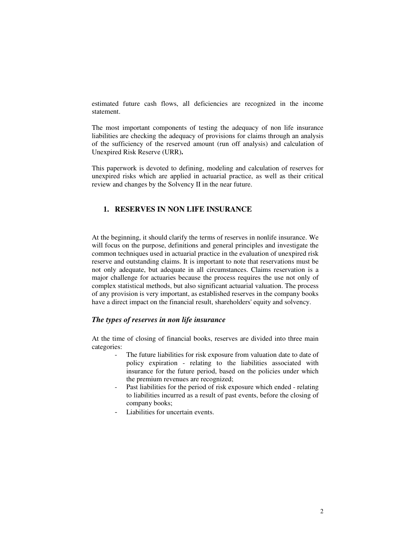estimated future cash flows, all deficiencies are recognized in the income statement.

The most important components of testing the adequacy of non life insurance liabilities are checking the adequacy of provisions for claims through an analysis of the sufficiency of the reserved amount (run off analysis) and calculation of Unexpired Risk Reserve (URR)**.** 

This paperwork is devoted to defining, modeling and calculation of reserves for unexpired risks which are applied in actuarial practice, as well as their critical review and changes by the Solvency II in the near future.

# **1. RESERVES IN NON LIFE INSURANCE**

At the beginning, it should clarify the terms of reserves in nonlife insurance. We will focus on the purpose, definitions and general principles and investigate the common techniques used in actuarial practice in the evaluation of unexpired risk reserve and outstanding claims. It is important to note that reservations must be not only adequate, but adequate in all circumstances. Claims reservation is a major challenge for actuaries because the process requires the use not only of complex statistical methods, but also significant actuarial valuation. The process of any provision is very important, as established reserves in the company books have a direct impact on the financial result, shareholders' equity and solvency.

### *The types of reserves in non life insurance*

At the time of closing of financial books, reserves are divided into three main categories:

- The future liabilities for risk exposure from valuation date to date of policy expiration - relating to the liabilities associated with insurance for the future period, based on the policies under which the premium revenues are recognized;
- Past liabilities for the period of risk exposure which ended relating to liabilities incurred as a result of past events, before the closing of company books;
- Liabilities for uncertain events.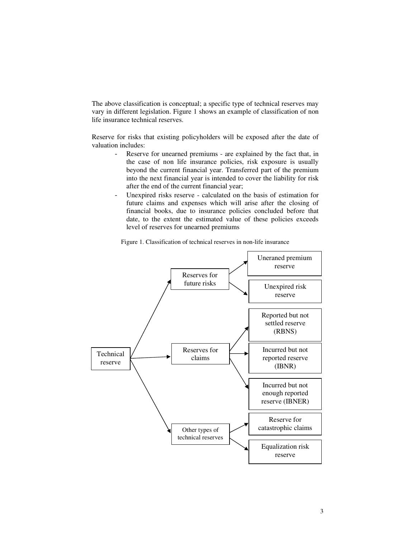The above classification is conceptual; a specific type of technical reserves may vary in different legislation. Figure 1 shows an example of classification of non life insurance technical reserves.

Reserve for risks that existing policyholders will be exposed after the date of valuation includes:

- Reserve for unearned premiums are explained by the fact that, in the case of non life insurance policies, risk exposure is usually beyond the current financial year. Transferred part of the premium into the next financial year is intended to cover the liability for risk after the end of the current financial year;
- Unexpired risks reserve calculated on the basis of estimation for future claims and expenses which will arise after the closing of financial books, due to insurance policies concluded before that date, to the extent the estimated value of these policies exceeds level of reserves for unearned premiums

Figure 1. Classification of technical reserves in non-life insurance

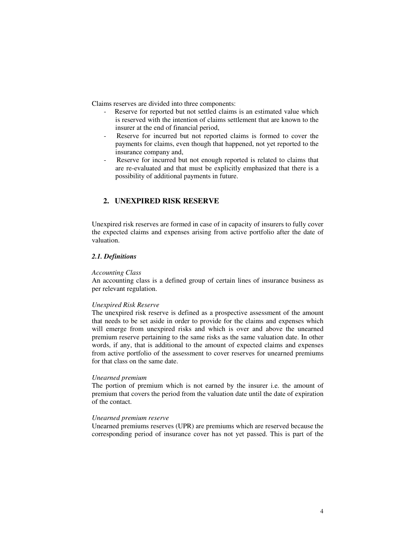Claims reserves are divided into three components:

- Reserve for reported but not settled claims is an estimated value which is reserved with the intention of claims settlement that are known to the insurer at the end of financial period,
- Reserve for incurred but not reported claims is formed to cover the payments for claims, even though that happened, not yet reported to the insurance company and,
- Reserve for incurred but not enough reported is related to claims that are re-evaluated and that must be explicitly emphasized that there is a possibility of additional payments in future.

# **2. UNEXPIRED RISK RESERVE**

Unexpired risk reserves are formed in case of in capacity of insurers to fully cover the expected claims and expenses arising from active portfolio after the date of valuation.

### *2.1. Definitions*

### *Accounting Class*

An accounting class is a defined group of certain lines of insurance business as per relevant regulation.

### *Unexpired Risk Reserve*

The unexpired risk reserve is defined as a prospective assessment of the amount that needs to be set aside in order to provide for the claims and expenses which will emerge from unexpired risks and which is over and above the unearned premium reserve pertaining to the same risks as the same valuation date. In other words, if any, that is additional to the amount of expected claims and expenses from active portfolio of the assessment to cover reserves for unearned premiums for that class on the same date.

### *Unearned premium*

The portion of premium which is not earned by the insurer i.e. the amount of premium that covers the period from the valuation date until the date of expiration of the contact.

### *Unearned premium reserve*

Unearned premiums reserves (UPR) are premiums which are reserved because the corresponding period of insurance cover has not yet passed. This is part of the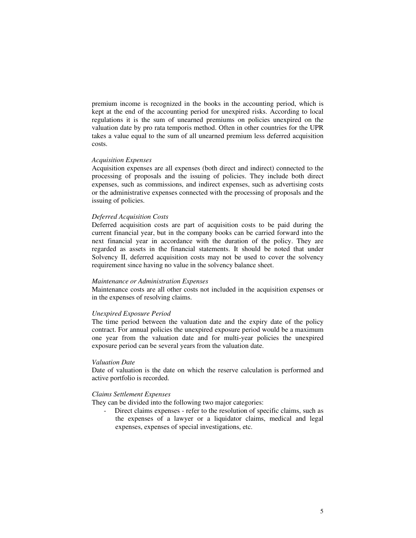premium income is recognized in the books in the accounting period, which is kept at the end of the accounting period for unexpired risks. According to local regulations it is the sum of unearned premiums on policies unexpired on the valuation date by pro rata temporis method. Often in other countries for the UPR takes a value equal to the sum of all unearned premium less deferred acquisition costs.

## *Acquisition Expenses*

Acquisition expenses are all expenses (both direct and indirect) connected to the processing of proposals and the issuing of policies. They include both direct expenses, such as commissions, and indirect expenses, such as advertising costs or the administrative expenses connected with the processing of proposals and the issuing of policies.

#### *Deferred Acquisition Costs*

Deferred acquisition costs are part of acquisition costs to be paid during the current financial year, but in the company books can be carried forward into the next financial year in accordance with the duration of the policy. They are regarded as assets in the financial statements. It should be noted that under Solvency II, deferred acquisition costs may not be used to cover the solvency requirement since having no value in the solvency balance sheet.

#### *Maintenance or Administration Expenses*

Maintenance costs are all other costs not included in the acquisition expenses or in the expenses of resolving claims.

### *Unexpired Exposure Period*

The time period between the valuation date and the expiry date of the policy contract. For annual policies the unexpired exposure period would be a maximum one year from the valuation date and for multi-year policies the unexpired exposure period can be several years from the valuation date.

### *Valuation Date*

Date of valuation is the date on which the reserve calculation is performed and active portfolio is recorded.

### *Claims Settlement Expenses*

They can be divided into the following two major categories:

Direct claims expenses - refer to the resolution of specific claims, such as the expenses of a lawyer or a liquidator claims, medical and legal expenses, expenses of special investigations, etc.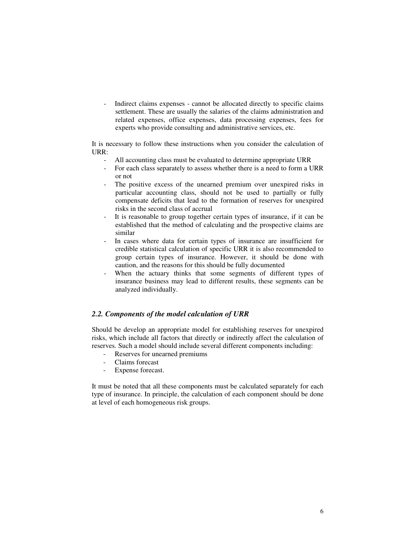Indirect claims expenses - cannot be allocated directly to specific claims settlement. These are usually the salaries of the claims administration and related expenses, office expenses, data processing expenses, fees for experts who provide consulting and administrative services, etc.

It is necessary to follow these instructions when you consider the calculation of URR:

- All accounting class must be evaluated to determine appropriate URR
- For each class separately to assess whether there is a need to form a URR or not
- The positive excess of the unearned premium over unexpired risks in particular accounting class, should not be used to partially or fully compensate deficits that lead to the formation of reserves for unexpired risks in the second class of accrual
- It is reasonable to group together certain types of insurance, if it can be established that the method of calculating and the prospective claims are similar
- In cases where data for certain types of insurance are insufficient for credible statistical calculation of specific URR it is also recommended to group certain types of insurance. However, it should be done with caution, and the reasons for this should be fully documented
- When the actuary thinks that some segments of different types of insurance business may lead to different results, these segments can be analyzed individually.

# *2.2. Components of the model calculation of URR*

Should be develop an appropriate model for establishing reserves for unexpired risks, which include all factors that directly or indirectly affect the calculation of reserves. Such a model should include several different components including:

- Reserves for unearned premiums
- Claims forecast
- Expense forecast.

It must be noted that all these components must be calculated separately for each type of insurance. In principle, the calculation of each component should be done at level of each homogeneous risk groups.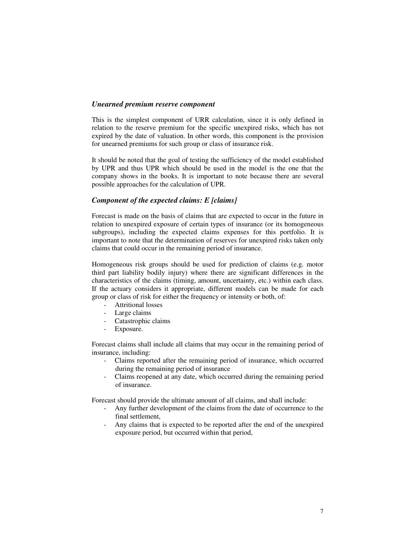### *Unearned premium reserve component*

This is the simplest component of URR calculation, since it is only defined in relation to the reserve premium for the specific unexpired risks, which has not expired by the date of valuation. In other words, this component is the provision for unearned premiums for such group or class of insurance risk.

It should be noted that the goal of testing the sufficiency of the model established by UPR and thus UPR which should be used in the model is the one that the company shows in the books. It is important to note because there are several possible approaches for the calculation of UPR.

## *Component of the expected claims: E [claims]*

Forecast is made on the basis of claims that are expected to occur in the future in relation to unexpired exposure of certain types of insurance (or its homogeneous subgroups), including the expected claims expenses for this portfolio. It is important to note that the determination of reserves for unexpired risks taken only claims that could occur in the remaining period of insurance.

Homogeneous risk groups should be used for prediction of claims (e.g. motor third part liability bodily injury) where there are significant differences in the characteristics of the claims (timing, amount, uncertainty, etc.) within each class. If the actuary considers it appropriate, different models can be made for each group or class of risk for either the frequency or intensity or both, of:

- Attritional losses
- Large claims
- Catastrophic claims
- Exposure.

Forecast claims shall include all claims that may occur in the remaining period of insurance, including:

- Claims reported after the remaining period of insurance, which occurred during the remaining period of insurance
- Claims reopened at any date, which occurred during the remaining period of insurance.

Forecast should provide the ultimate amount of all claims, and shall include:

- Any further development of the claims from the date of occurrence to the final settlement,
- Any claims that is expected to be reported after the end of the unexpired exposure period, but occurred within that period,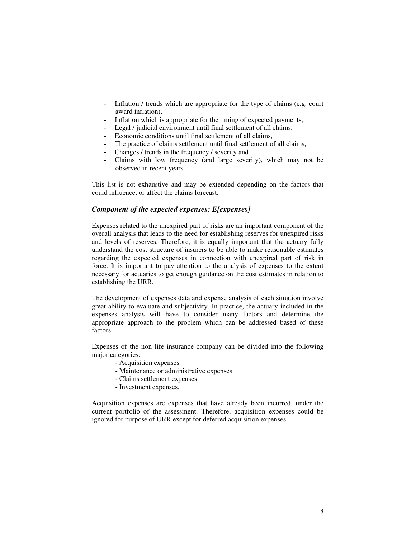- Inflation / trends which are appropriate for the type of claims (e.g. court award inflation),
- Inflation which is appropriate for the timing of expected payments,
- Legal / judicial environment until final settlement of all claims,
- Economic conditions until final settlement of all claims,
- The practice of claims settlement until final settlement of all claims,
- Changes / trends in the frequency / severity and
- Claims with low frequency (and large severity), which may not be observed in recent years.

This list is not exhaustive and may be extended depending on the factors that could influence, or affect the claims forecast.

# *Component of the expected expenses: E[expenses]*

Expenses related to the unexpired part of risks are an important component of the overall analysis that leads to the need for establishing reserves for unexpired risks and levels of reserves. Therefore, it is equally important that the actuary fully understand the cost structure of insurers to be able to make reasonable estimates regarding the expected expenses in connection with unexpired part of risk in force. It is important to pay attention to the analysis of expenses to the extent necessary for actuaries to get enough guidance on the cost estimates in relation to establishing the URR.

The development of expenses data and expense analysis of each situation involve great ability to evaluate and subjectivity. In practice, the actuary included in the expenses analysis will have to consider many factors and determine the appropriate approach to the problem which can be addressed based of these factors.

Expenses of the non life insurance company can be divided into the following major categories:

- Acquisition expenses
- Maintenance or administrative expenses
- Claims settlement expenses
- Investment expenses.

Acquisition expenses are expenses that have already been incurred, under the current portfolio of the assessment. Therefore, acquisition expenses could be ignored for purpose of URR except for deferred acquisition expenses.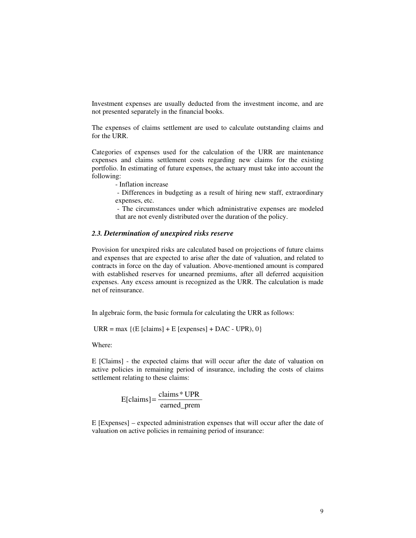Investment expenses are usually deducted from the investment income, and are not presented separately in the financial books.

The expenses of claims settlement are used to calculate outstanding claims and for the URR.

Categories of expenses used for the calculation of the URR are maintenance expenses and claims settlement costs regarding new claims for the existing portfolio. In estimating of future expenses, the actuary must take into account the following:

- Inflation increase

 - Differences in budgeting as a result of hiring new staff, extraordinary expenses, etc.

 - The circumstances under which administrative expenses are modeled that are not evenly distributed over the duration of the policy.

## *2.3. Determination of unexpired risks reserve*

Provision for unexpired risks are calculated based on projections of future claims and expenses that are expected to arise after the date of valuation, and related to contracts in force on the day of valuation. Above-mentioned amount is compared with established reserves for unearned premiums, after all deferred acquisition expenses. Any excess amount is recognized as the URR. The calculation is made net of reinsurance.

In algebraic form, the basic formula for calculating the URR as follows:

 $\text{URR} = \text{max} \{ (\text{E} [\text{claim}] + \text{E} [\text{express}] + \text{DAC} - \text{UPR}), 0 \}$ 

Where:

E [Claims] - the expected claims that will occur after the date of valuation on active policies in remaining period of insurance, including the costs of claims settlement relating to these claims:

$$
E[clains] = \frac{clains * UPR}{earned\_prem}
$$

E [Expenses] – expected administration expenses that will occur after the date of valuation on active policies in remaining period of insurance: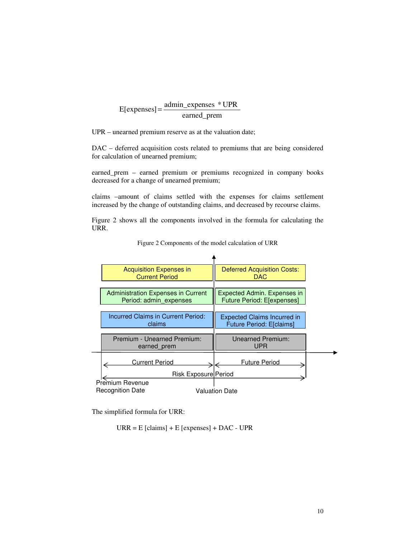earned\_prem  $E[express] = \frac{admin\_express}{s} * UPR$ 

UPR – unearned premium reserve as at the valuation date;

DAC – deferred acquisition costs related to premiums that are being considered for calculation of unearned premium;

earned\_prem – earned premium or premiums recognized in company books decreased for a change of unearned premium;

claims –amount of claims settled with the expenses for claims settlement increased by the change of outstanding claims, and decreased by recourse claims.

Figure 2 shows all the components involved in the formula for calculating the URR.



Figure 2 Components of the model calculation of URR

The simplified formula for URR:

 $\text{URR} = \text{E}$  [claims] + E [expenses] + DAC - UPR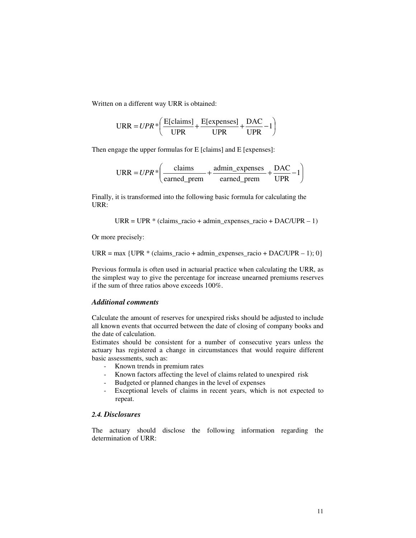Written on a different way URR is obtained:

$$
URR = UPR * \left( \frac{E[clains]}{UPR} + \frac{E[expresses]}{UPR} + \frac{DAC}{UPR} - 1 \right)
$$

Then engage the upper formulas for E [claims] and E [expenses]:

$$
URR = UPR * \left(\frac{\text{claims}}{\text{earmed\_prem}} + \frac{\text{admin\_expenses}}{\text{earmed\_prem}} + \frac{\text{DAC}}{\text{UPR}} - 1\right)
$$

Finally, it is transformed into the following basic formula for calculating the URR:

$$
URR = UPR * (claims\_racio + admin\_expenses\_racio + DAC/UPR - 1)
$$

Or more precisely:

 $\text{URR} = \text{max} \{ \text{UPR} * (\text{claim\_racio} + \text{admin\_expenses\_racio} + \text{DAC/UPR} - 1); 0 \}$ 

Previous formula is often used in actuarial practice when calculating the URR, as the simplest way to give the percentage for increase unearned premiums reserves if the sum of three ratios above exceeds 100%.

# *Additional comments*

Calculate the amount of reserves for unexpired risks should be adjusted to include all known events that occurred between the date of closing of company books and the date of calculation.

Estimates should be consistent for a number of consecutive years unless the actuary has registered a change in circumstances that would require different basic assessments, such as:

- Known trends in premium rates
- Known factors affecting the level of claims related to unexpired risk
- Budgeted or planned changes in the level of expenses
- Exceptional levels of claims in recent years, which is not expected to repeat.

# *2.4. Disclosures*

The actuary should disclose the following information regarding the determination of URR: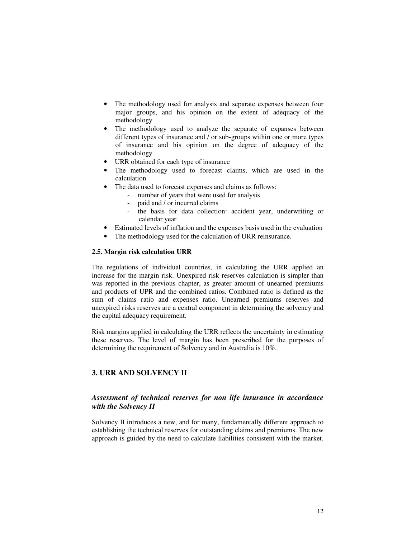- The methodology used for analysis and separate expenses between four major groups, and his opinion on the extent of adequacy of the methodology
- The methodology used to analyze the separate of expanses between different types of insurance and / or sub-groups within one or more types of insurance and his opinion on the degree of adequacy of the methodology
- URR obtained for each type of insurance
- The methodology used to forecast claims, which are used in the calculation
- The data used to forecast expenses and claims as follows:
	- number of years that were used for analysis
	- paid and / or incurred claims
	- the basis for data collection: accident year, underwriting or calendar year
- Estimated levels of inflation and the expenses basis used in the evaluation
- The methodology used for the calculation of URR reinsurance.

### **2.5. Margin risk calculation URR**

The regulations of individual countries, in calculating the URR applied an increase for the margin risk. Unexpired risk reserves calculation is simpler than was reported in the previous chapter, as greater amount of unearned premiums and products of UPR and the combined ratios. Combined ratio is defined as the sum of claims ratio and expenses ratio. Unearned premiums reserves and unexpired risks reserves are a central component in determining the solvency and the capital adequacy requirement.

Risk margins applied in calculating the URR reflects the uncertainty in estimating these reserves. The level of margin has been prescribed for the purposes of determining the requirement of Solvency and in Australia is 10%.

## **3. URR AND SOLVENCY II**

## *Assessment of technical reserves for non life insurance in accordance with the Solvency II*

Solvency II introduces a new, and for many, fundamentally different approach to establishing the technical reserves for outstanding claims and premiums. The new approach is guided by the need to calculate liabilities consistent with the market.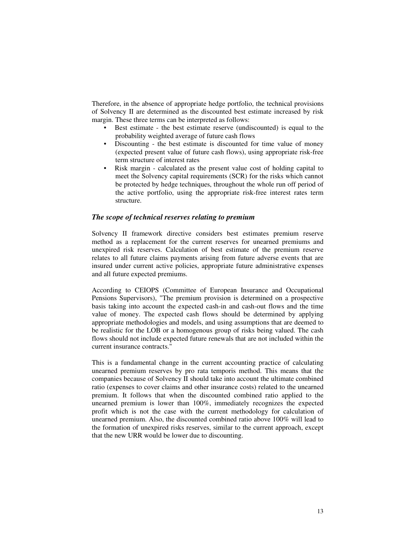Therefore, in the absence of appropriate hedge portfolio, the technical provisions of Solvency II are determined as the discounted best estimate increased by risk margin. These three terms can be interpreted as follows:

- Best estimate the best estimate reserve (undiscounted) is equal to the probability weighted average of future cash flows
- Discounting the best estimate is discounted for time value of money (expected present value of future cash flows), using appropriate risk-free term structure of interest rates
- Risk margin calculated as the present value cost of holding capital to meet the Solvency capital requirements (SCR) for the risks which cannot be protected by hedge techniques, throughout the whole run off period of the active portfolio, using the appropriate risk-free interest rates term structure.

### *The scope of technical reserves relating to premium*

Solvency II framework directive considers best estimates premium reserve method as a replacement for the current reserves for unearned premiums and unexpired risk reserves. Calculation of best estimate of the premium reserve relates to all future claims payments arising from future adverse events that are insured under current active policies, appropriate future administrative expenses and all future expected premiums.

According to CEIOPS (Committee of European Insurance and Occupational Pensions Supervisors), "The premium provision is determined on a prospective basis taking into account the expected cash-in and cash-out flows and the time value of money. The expected cash flows should be determined by applying appropriate methodologies and models, and using assumptions that are deemed to be realistic for the LOB or a homogenous group of risks being valued. The cash flows should not include expected future renewals that are not included within the current insurance contracts."

This is a fundamental change in the current accounting practice of calculating unearned premium reserves by pro rata temporis method. This means that the companies because of Solvency II should take into account the ultimate combined ratio (expenses to cover claims and other insurance costs) related to the unearned premium. It follows that when the discounted combined ratio applied to the unearned premium is lower than 100%, immediately recognizes the expected profit which is not the case with the current methodology for calculation of unearned premium. Also, the discounted combined ratio above 100% will lead to the formation of unexpired risks reserves, similar to the current approach, except that the new URR would be lower due to discounting.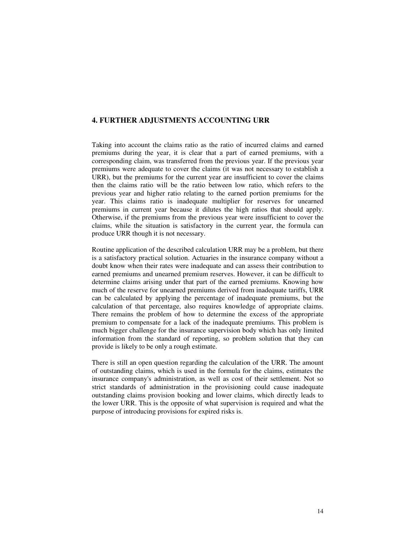## **4. FURTHER ADJUSTMENTS ACCOUNTING URR**

Taking into account the claims ratio as the ratio of incurred claims and earned premiums during the year, it is clear that a part of earned premiums, with a corresponding claim, was transferred from the previous year. If the previous year premiums were adequate to cover the claims (it was not necessary to establish a URR), but the premiums for the current year are insufficient to cover the claims then the claims ratio will be the ratio between low ratio, which refers to the previous year and higher ratio relating to the earned portion premiums for the year. This claims ratio is inadequate multiplier for reserves for unearned premiums in current year because it dilutes the high ratios that should apply. Otherwise, if the premiums from the previous year were insufficient to cover the claims, while the situation is satisfactory in the current year, the formula can produce URR though it is not necessary.

Routine application of the described calculation URR may be a problem, but there is a satisfactory practical solution. Actuaries in the insurance company without a doubt know when their rates were inadequate and can assess their contribution to earned premiums and unearned premium reserves. However, it can be difficult to determine claims arising under that part of the earned premiums. Knowing how much of the reserve for unearned premiums derived from inadequate tariffs, URR can be calculated by applying the percentage of inadequate premiums, but the calculation of that percentage, also requires knowledge of appropriate claims. There remains the problem of how to determine the excess of the appropriate premium to compensate for a lack of the inadequate premiums. This problem is much bigger challenge for the insurance supervision body which has only limited information from the standard of reporting, so problem solution that they can provide is likely to be only a rough estimate.

There is still an open question regarding the calculation of the URR. The amount of outstanding claims, which is used in the formula for the claims, estimates the insurance company's administration, as well as cost of their settlement. Not so strict standards of administration in the provisioning could cause inadequate outstanding claims provision booking and lower claims, which directly leads to the lower URR. This is the opposite of what supervision is required and what the purpose of introducing provisions for expired risks is.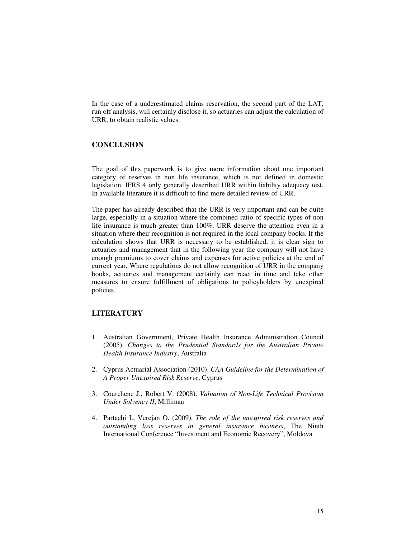In the case of a underestimated claims reservation, the second part of the LAT, run off analysis, will certainly disclose it, so actuaries can adjust the calculation of URR, to obtain realistic values.

## **CONCLUSION**

The goal of this paperwork is to give more information about one important category of reserves in non life insurance, which is not defined in domestic legislation. IFRS 4 only generally described URR within liability adequacy test. In available literature it is difficult to find more detailed review of URR.

The paper has already described that the URR is very important and can be quite large, especially in a situation where the combined ratio of specific types of non life insurance is much greater than 100%. URR deserve the attention even in a situation where their recognition is not required in the local company books. If the calculation shows that URR is necessary to be established, it is clear sign to actuaries and management that in the following year the company will not have enough premiums to cover claims and expenses for active policies at the end of current year. Where regulations do not allow recognition of URR in the company books, actuaries and management certainly can react in time and take other measures to ensure fulfillment of obligations to policyholders by unexpired policies.

# **LITERATURY**

- 1. Australian Government, Private Health Insurance Administration Council (2005). *Changes to the Prudential Standards for the Australian Private Health Insurance Industry*, Australia
- 2. Cyprus Actuarial Association (2010). *CAA Guideline for the Determination of A Proper Unexpired Risk Reserve*, Cyprus
- 3. Courchene J., Robert V. (2008). *Valuation of Non-Life Technical Provision Under Solvency II*, Milliman
- 4. Partachi I., Verejan O. (2009). *The role of the unexpired risk reserves and outstanding loss reserves in general insurance business*, The Ninth International Conference "Investment and Economic Recovery", Moldova